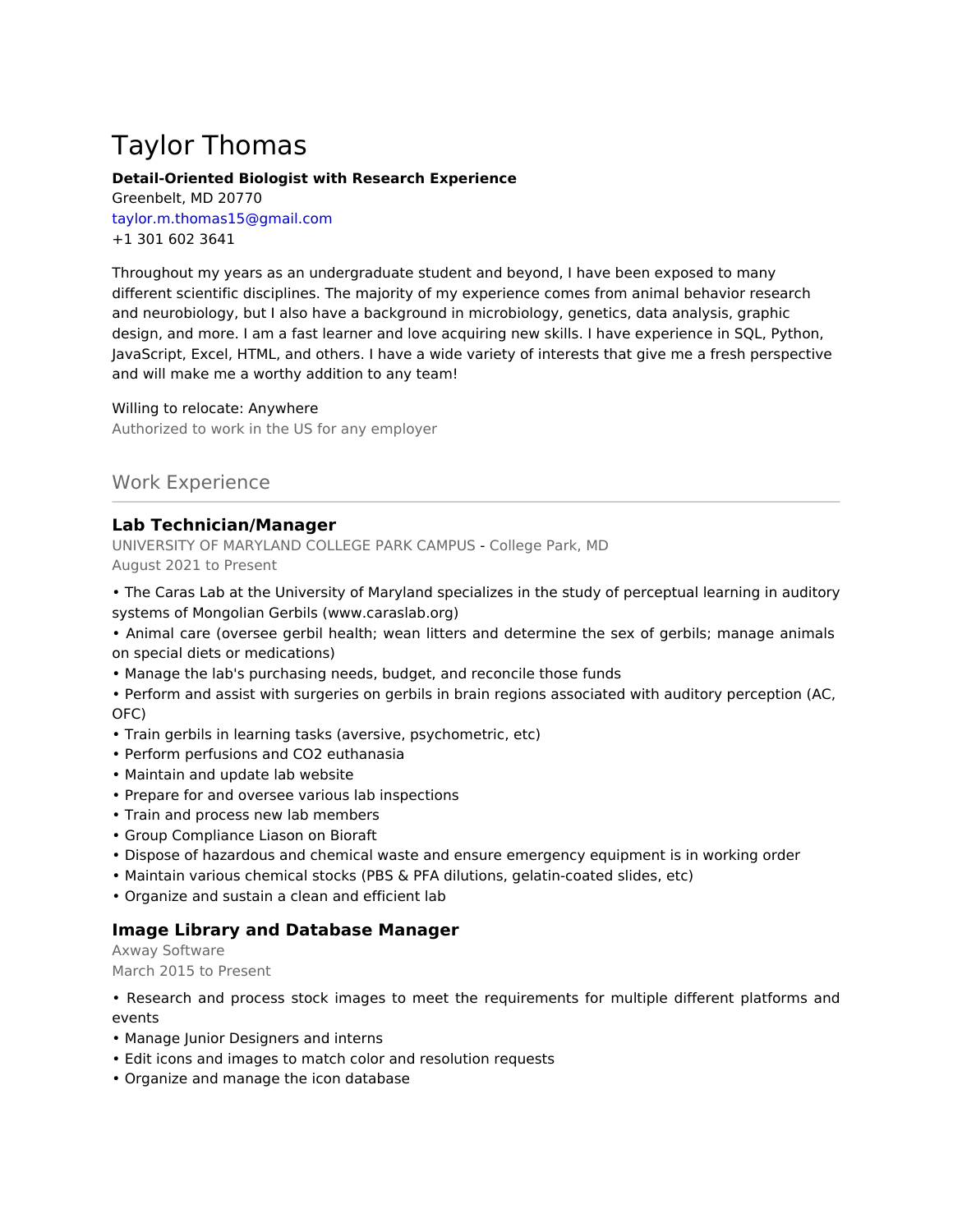# Taylor Thomas

#### **Detail-Oriented Biologist with Research Experience**

Greenbelt, MD 20770 taylor.m.thomas15@gmail.com +1 301 602 3641

Throughout my years as an undergraduate student and beyond, I have been exposed to many different scientific disciplines. The majority of my experience comes from animal behavior research and neurobiology, but I also have a background in microbiology, genetics, data analysis, graphic design, and more. I am a fast learner and love acquiring new skills. I have experience in SQL, Python, JavaScript, Excel, HTML, and others. I have a wide variety of interests that give me a fresh perspective and will make me a worthy addition to any team!

#### Willing to relocate: Anywhere

Authorized to work in the US for any employer

## Work Experience

## **Lab Technician/Manager**

UNIVERSITY OF MARYLAND COLLEGE PARK CAMPUS - College Park, MD August 2021 to Present

• The Caras Lab at the University of Maryland specializes in the study of perceptual learning in auditory systems of Mongolian Gerbils (www.caraslab.org)

• Animal care (oversee gerbil health; wean litters and determine the sex of gerbils; manage animals on special diets or medications)

- Manage the lab's purchasing needs, budget, and reconcile those funds
- Perform and assist with surgeries on gerbils in brain regions associated with auditory perception (AC, OFC)
- Train gerbils in learning tasks (aversive, psychometric, etc)
- Perform perfusions and CO2 euthanasia
- Maintain and update lab website
- Prepare for and oversee various lab inspections
- Train and process new lab members
- Group Compliance Liason on Bioraft
- Dispose of hazardous and chemical waste and ensure emergency equipment is in working order
- Maintain various chemical stocks (PBS & PFA dilutions, gelatin-coated slides, etc)
- Organize and sustain a clean and efficient lab

## **Image Library and Database Manager**

Axway Software March 2015 to Present

- Research and process stock images to meet the requirements for multiple different platforms and events
- Manage Junior Designers and interns
- Edit icons and images to match color and resolution requests
- Organize and manage the icon database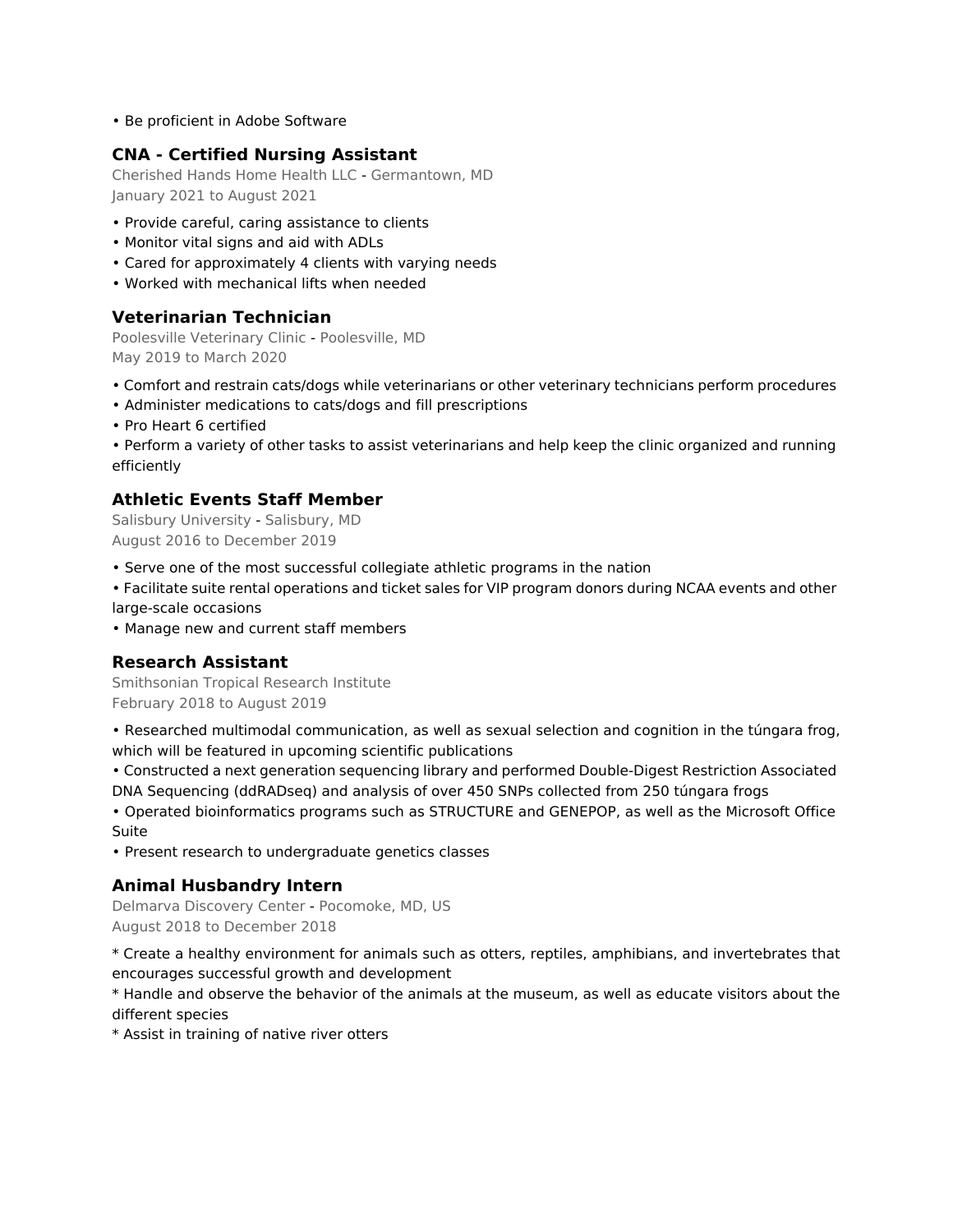• Be proficient in Adobe Software

## **CNA - Certified Nursing Assistant**

Cherished Hands Home Health LLC - Germantown, MD January 2021 to August 2021

- Provide careful, caring assistance to clients
- Monitor vital signs and aid with ADLs
- Cared for approximately 4 clients with varying needs
- Worked with mechanical lifts when needed

## **Veterinarian Technician**

Poolesville Veterinary Clinic - Poolesville, MD May 2019 to March 2020

- Comfort and restrain cats/dogs while veterinarians or other veterinary technicians perform procedures
- Administer medications to cats/dogs and fill prescriptions
- Pro Heart 6 certified
- Perform a variety of other tasks to assist veterinarians and help keep the clinic organized and running efficiently

## **Athletic Events Staff Member**

Salisbury University - Salisbury, MD August 2016 to December 2019

• Serve one of the most successful collegiate athletic programs in the nation

• Facilitate suite rental operations and ticket sales for VIP program donors during NCAA events and other large-scale occasions

• Manage new and current staff members

## **Research Assistant**

Smithsonian Tropical Research Institute February 2018 to August 2019

- Researched multimodal communication, as well as sexual selection and cognition in the túngara frog, which will be featured in upcoming scientific publications
- Constructed a next generation sequencing library and performed Double-Digest Restriction Associated DNA Sequencing (ddRADseq) and analysis of over 450 SNPs collected from 250 túngara frogs

• Operated bioinformatics programs such as STRUCTURE and GENEPOP, as well as the Microsoft Office Suite

• Present research to undergraduate genetics classes

## **Animal Husbandry Intern**

Delmarva Discovery Center - Pocomoke, MD, US August 2018 to December 2018

\* Create a healthy environment for animals such as otters, reptiles, amphibians, and invertebrates that encourages successful growth and development

\* Handle and observe the behavior of the animals at the museum, as well as educate visitors about the different species

\* Assist in training of native river otters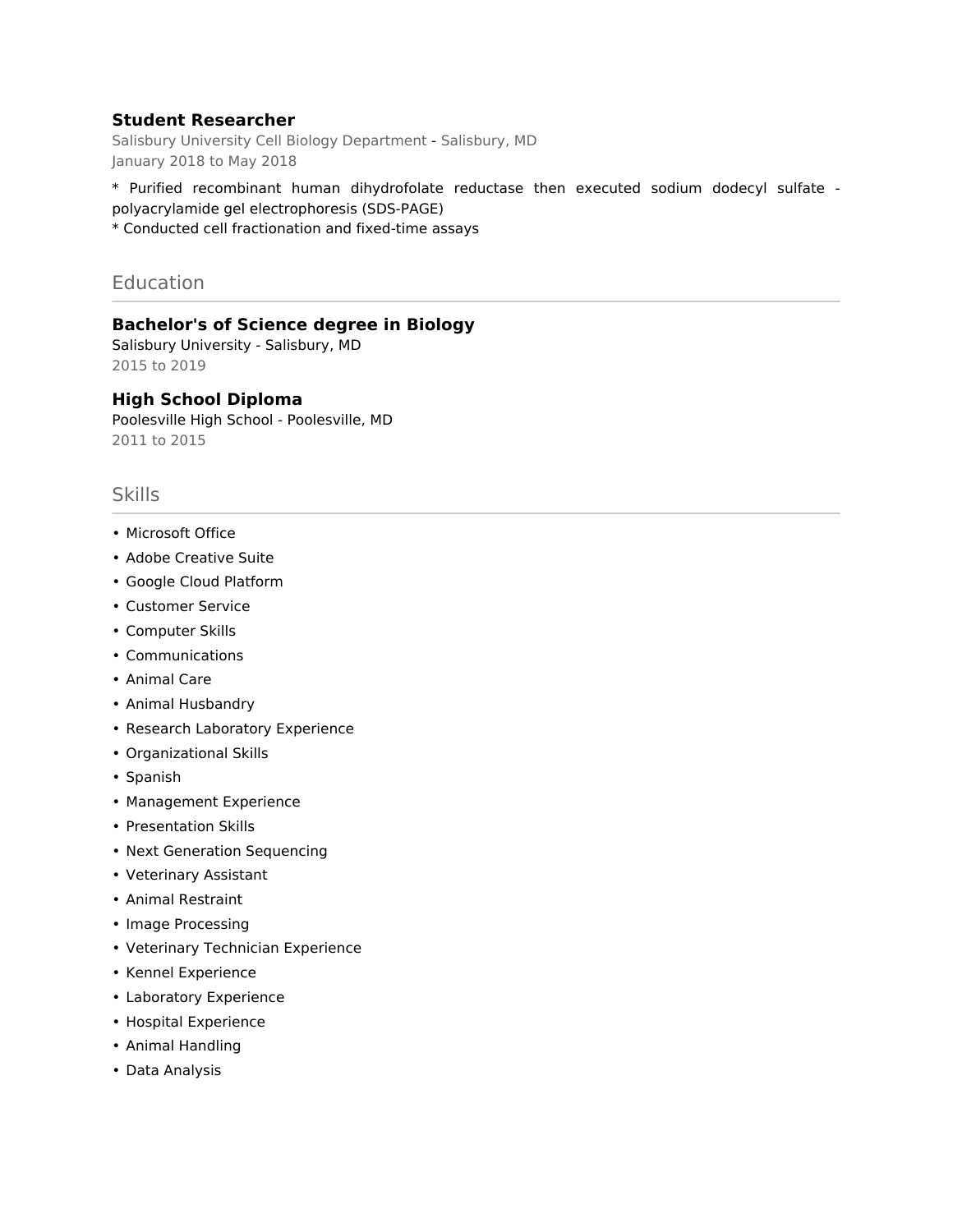## **Student Researcher**

Salisbury University Cell Biology Department - Salisbury, MD January 2018 to May 2018

\* Purified recombinant human dihydrofolate reductase then executed sodium dodecyl sulfate polyacrylamide gel electrophoresis (SDS-PAGE)

\* Conducted cell fractionation and fixed-time assays

Education

**Bachelor's of Science degree in Biology**

Salisbury University - Salisbury, MD 2015 to 2019

#### **High School Diploma**

Poolesville High School - Poolesville, MD 2011 to 2015

## Skills

- Microsoft Office
- Adobe Creative Suite
- Google Cloud Platform
- Customer Service
- Computer Skills
- Communications
- Animal Care
- Animal Husbandry
- Research Laboratory Experience
- Organizational Skills
- Spanish
- Management Experience
- Presentation Skills
- Next Generation Sequencing
- Veterinary Assistant
- Animal Restraint
- Image Processing
- Veterinary Technician Experience
- Kennel Experience
- Laboratory Experience
- Hospital Experience
- Animal Handling
- Data Analysis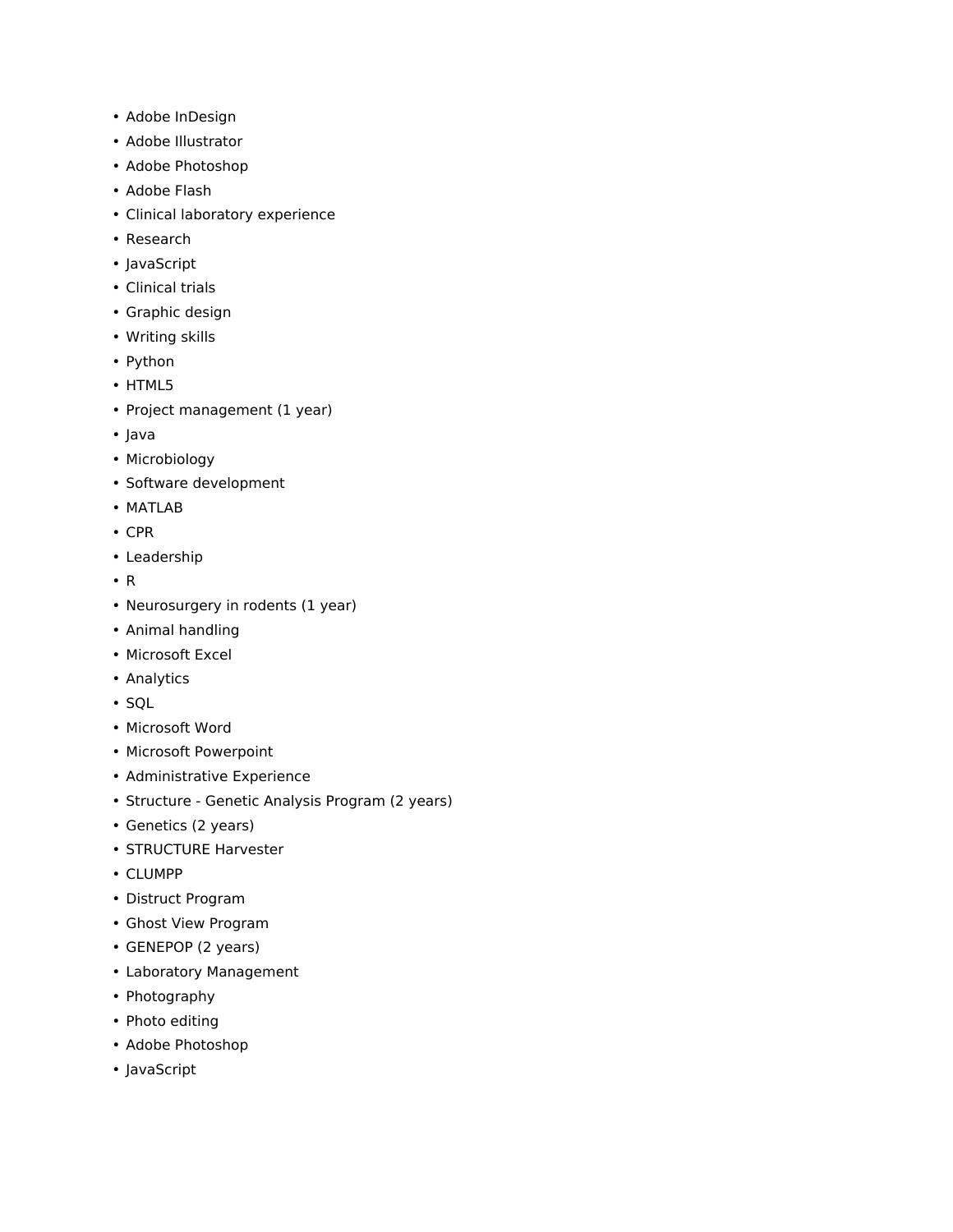- Adobe InDesign
- Adobe Illustrator
- Adobe Photoshop
- Adobe Flash
- Clinical laboratory experience
- Research
- JavaScript
- Clinical trials
- Graphic design
- Writing skills
- Python
- HTML5
- Project management (1 year)
- Java
- Microbiology
- Software development
- MATLAB
- CPR
- Leadership
- R
- Neurosurgery in rodents (1 year)
- Animal handling
- Microsoft Excel
- Analytics
- SQL
- Microsoft Word
- Microsoft Powerpoint
- Administrative Experience
- Structure Genetic Analysis Program (2 years)
- Genetics (2 years)
- STRUCTURE Harvester
- CLUMPP
- Distruct Program
- Ghost View Program
- GENEPOP (2 years)
- Laboratory Management
- Photography
- Photo editing
- Adobe Photoshop
- JavaScript